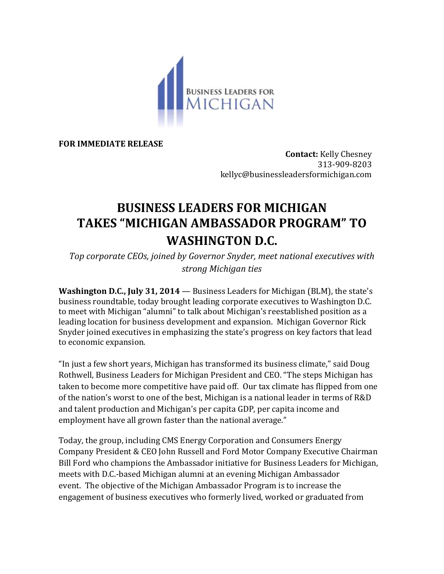

**FOR IMMEDIATE RELEASE**

**Contact:** Kelly Chesney 313-909-8203 kellyc@businessleadersformichigan.com

## **BUSINESS LEADERS FOR MICHIGAN TAKES "MICHIGAN AMBASSADOR PROGRAM" TO WASHINGTON D.C.**

*Top corporate CEOs, joined by Governor Snyder, meet national executives with strong Michigan ties*

**Washington D.C., July 31, 2014** — Business Leaders for Michigan (BLM), the state's business roundtable, today brought leading corporate executives to Washington D.C. to meet with Michigan "alumni" to talk about Michigan's reestablished position as a leading location for business development and expansion. Michigan Governor Rick Snyder joined executives in emphasizing the state's progress on key factors that lead to economic expansion.

"In just a few short years, Michigan has transformed its business climate," said Doug Rothwell, Business Leaders for Michigan President and CEO. "The steps Michigan has taken to become more competitive have paid off. Our tax climate has flipped from one of the nation's worst to one of the best, Michigan is a national leader in terms of R&D and talent production and Michigan's per capita GDP, per capita income and employment have all grown faster than the national average."

Today, the group, including CMS Energy Corporation and Consumers Energy Company President & CEO John Russell and Ford Motor Company Executive Chairman Bill Ford who champions the Ambassador initiative for Business Leaders for Michigan, meets with D.C.-based Michigan alumni at an evening Michigan Ambassador event. The objective of the Michigan Ambassador Program is to increase the engagement of business executives who formerly lived, worked or graduated from